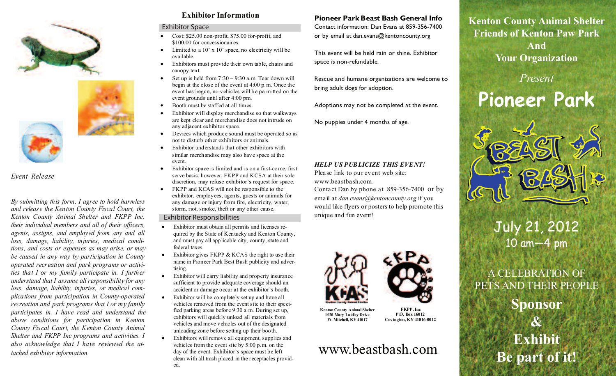



#### *Event Release*

*By submitting this form, I agree to hold harmless and release the Kenton County Fiscal Court, the Kenton County Animal Shelter and FKPP Inc, their individual members and all of their officers, agents, assigns, and employed from any and all loss, damage, liability, injuries, medical conditions, and costs or expenses as may arise, or may be caused in any way by participation in County operated recreation and park programs or activities that I or my family participate in. I further understand that I assume all responsibility for any loss, damage, liability, injuries, or medical complications from participation in County-operated recreation and park programs that I or my family participates in. I have read and understand the above conditions for participation in Kenton County Fiscal Court, the Kenton County Animal Shelter and FKPP Inc programs and activities. I also acknowledge that I have reviewed the attached exhibitor information.* 

#### **Exhibitor Information**

#### Exhibitor Space

- Cost: \$25.00 non-profit, \$75.00 for-profit, and \$100.00 for concessionaires.
- Limited to a  $10' \times 10'$  space, no electricity will be available.
- Exhibitors must provide their own table, chairs and canopy tent.
- Set up is held from  $7:30 9:30$  a.m. Tear down will begin at the close of the event at 4:00 p.m. Once the event has begun, no vehicles will be permitted on the event grounds until after 4:00 pm.
- Booth must be staffed at all times.
- Exhibitor will display merchandise so that walkways are kept clear and merchandise does not intrude on any adjacent exhibitor space.
- Devices which produce sound must be operated so as not to disturb other exhibitors or animals.
- Exhibitor understands that other exhibitors with similar merchandise may also have space at the event.
- Exhibitor space is limited and is on a first-come, first serve basis; however, FKPP and KCSA at their sole discretion, may refuse exhibitor's request for space.
- FKPP and KCAS will not be responsible to the exhibitor, employees, agents, guests or animals for any damage or injury from fire, electricity, water, storm, riot, smoke, theft or any other cause.

#### Exhibitor Responsibilities

- Exhibitor must obtain all permits and licenses required by the State of Kentucky and Kenton County, and must pay all applicable city, county, state and federal taxes.
- Exhibitor gives  $FKPP & KCAS$  the right to use their name in Pioneer Park Best Bash publicity and advertising.
- Exhibitor will carry liability and property insurance sufficient to provide adequate coverage should an accident or damage occur at the exhibitor's booth.
- Exhibitor will be completely set up and have all vehicles removed from the event site to their specified parking areas before 9:30 a.m. During set up, exhibitors will quickly unload all materials from vehicles and move vehicles out of the designated unloading zone before setting up their booth.
- Exhibitors will remove all equipment, supplies and vehicles from the event site by 5:00 p.m. on the day of the event. Exhibitor's space must be left clean with all trash placed in the receptacles provided.

#### **Pioneer Park Beast Bash General Info**

Contact information: Dan Evans at 859-356-7400 or by email at dan.evans@kentoncounty.org

This event will be held rain or shine. Exhibitor space is non-refundable.

Rescue and humane organizations are welcome to bring adult dogs for adoption.

Adoptions may not be completed at the event.

No puppies under 4 months of age.

#### *HELP US PUBLICIZE THIS EVENT!*

Please link to our event web site: www.beastbash.com.

Contact Dan by phone at 859-356-7400 or by email at *dan.evans@kentoncounty.org* if you would like flyers or posters to help promote this unique and fun event!



**Kenton County Animal Shelter 1020 Mary Laidley Drive Ft. Mitchell, KY 41017**

**FKPP, Inc P.O. Box 16012** 

**Covington, KY 41016-0012**

# www.beastbash.com

**Kenton County Animal Shelter Friends of Kenton Paw Park And Your Organization**

*Present*

**Pioneer Park**



July 21, 2012 10 am—4 pm

A CELEBRATION OF PETS AND THEIR PEOPLE

> **Sponsor & Exhibit Be part of it!**